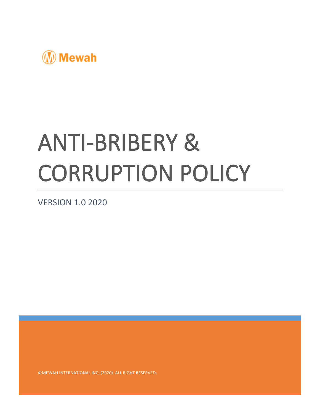

# ANTI-BRIBERY & CORRUPTION POLICY

VERSION 1.0 2020

©MEWAH INTERNATIONAL INC. (2020). ALL RIGHT RESERVED.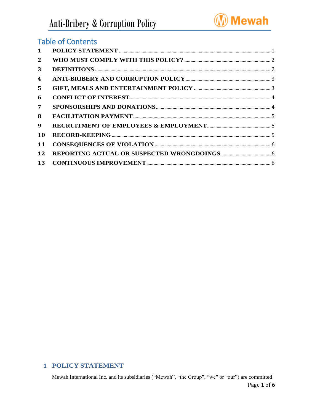

# **Table of Contents**

| $\mathbf{1}$   |  |
|----------------|--|
| 2              |  |
| 3              |  |
| 4              |  |
| 5.             |  |
| 6              |  |
| $\overline{7}$ |  |
| 8              |  |
| 9              |  |
| 10             |  |
| 11             |  |
| 12             |  |
| 13             |  |

# <span id="page-1-0"></span>**1 POLICY STATEMENT**

Mewah International Inc. and its subsidiaries ("Mewah", "the Group", "we" or "our") are committed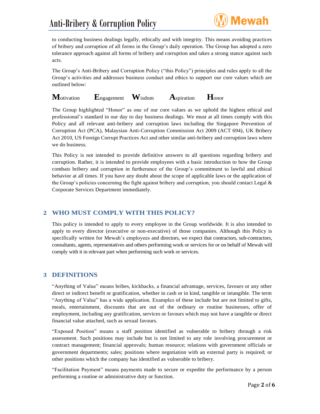# Anti-Bribery & Corruption Policy



to conducting business dealings legally, ethically and with integrity. This means avoiding practices of bribery and corruption of all forms in the Group's daily operation. The Group has adopted a zero tolerance approach against all forms of bribery and corruption and takes a strong stance against such acts.

The Group's Anti-Bribery and Corruption Policy ("this Policy") principles and rules apply to all the Group's activities and addresses business conduct and ethics to support our core values which are outlined below:

**M**otivation **E**ngagement **W**isdom **A**spiration **H**onor

The Group highlighted "Honor" as one of our core values as we uphold the highest ethical and professional's standard in our day to day business dealings. We must at all times comply with this Policy and all relevant anti-bribery and corruption laws including the Singapore Prevention of Corruption Act (PCA), Malaysian Anti-Corruption Commission Act 2009 (ACT 694), UK Bribery Act 2010, US Foreign Corrupt Practices Act and other similar anti-bribery and corruption laws where we do business.

This Policy is not intended to provide definitive answers to all questions regarding bribery and corruption. Rather, it is intended to provide employees with a basic introduction to how the Group combats bribery and corruption in furtherance of the Group's commitment to lawful and ethical behavior at all times. If you have any doubt about the scope of applicable laws or the application of the Group's policies concerning the fight against bribery and corruption, you should contact Legal & Corporate Services Department immediately.

# <span id="page-2-0"></span>**2 WHO MUST COMPLY WITH THIS POLICY?**

This policy is intended to apply to every employee in the Group worldwide. It is also intended to apply to every director (executive or non-executive) of those companies. Although this Policy is specifically written for Mewah's employees and directors, we expect that contractors, sub-contractors, consultants, agents, representatives and others performing work or services for or on behalf of Mewah will comply with it in relevant part when performing such work or services.

# <span id="page-2-1"></span>**3 DEFINITIONS**

"Anything of Value" means bribes, kickbacks, a financial advantage, services, favours or any other direct or indirect benefit or gratification, whether in cash or in kind, tangible or intangible. The term "Anything of Value" has a wide application. Examples of these include but are not limited to gifts, meals, entertainment, discounts that are out of the ordinary or routine businesses, offer of employment, including any gratification, services or favours which may not have a tangible or direct financial value attached, such as sexual favours.

"Exposed Position" means a staff position identified as vulnerable to bribery through a risk assessment. Such positions may include but is not limited to any role involving procurement or contract management; financial approvals; human resource; relations with government officials or government departments; sales; positions where negotiation with an external party is required; or other positions which the company has identified as vulnerable to bribery.

"Facilitation Payment" means payments made to secure or expedite the performance by a person performing a routine or administrative duty or function.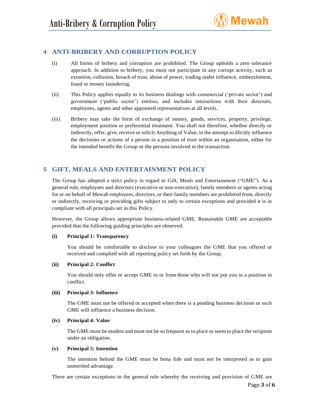

# <span id="page-3-0"></span>**4 ANTI-BRIBERY AND CORRUPTION POLICY**

- (i) All forms of bribery and corruption are prohibited. The Group upholds a zero tolerance approach. In addition to bribery, you must not participate in any corrupt activity, such as extortion, collusion, breach of trust, abuse of power, trading under influence, embezzlement, fraud or money laundering.
- (ii) This Policy applies equally to its business dealings with commercial ('private sector') and government ('public sector') entities, and includes interactions with their directors, employees, agents and other appointed representatives at all levels.
- (iii) Bribery may take the form of exchange of money, goods, services, property, privilege, employment position or preferential treatment. You shall not therefore, whether directly or indirectly, offer, give, receive or solicit Anything of Value, in the attempt to illicitly influence the decisions or actions of a person in a position of trust within an organisation, either for the intended benefit the Group or the persons involved in the transaction.

# <span id="page-3-1"></span>**5 GIFT, MEALS AND ENTERTAINMENT POLICY**

The Group has adopted a strict policy in regard to Gift, Meals and Entertainment ("GME"). As a general rule, employees and directors (executive or non-executive), family members or agents acting for or on behalf of Mewah employees, directors, or their family members are prohibited from, directly or indirectly, receiving or providing gifts subject to only to certain exceptions and provided it is in compliant with all principals set in this Policy.

However, the Group allows appropriate business-related GME. Reasonable GME are acceptable provided that the following guiding principles are observed.

#### **(i) Principal 1: Transparency**

You should be comfortable to disclose to your colleagues the GME that you offered or received and complied with all reporting policy set forth by the Group.

#### **(ii) Principal 2: Conflict**

You should only offer or accept GME to or from those who will not put you in a position in conflict.

#### **(iii) Principal 3: Influence**

The GME must not be offered or accepted when there is a pending business decision or such GME will influence a business decision.

#### **(iv) Principal 4: Value**

The GME must be modest and must not be so frequent as to place or seem to place the recipient under an obligation.

#### **(v) Principal 5: Intention**

The intention behind the GME must be bona fide and must not be interpreted as to gain unmerited advantage.

There are certain exceptions to the general rule whereby the receiving and provision of GME are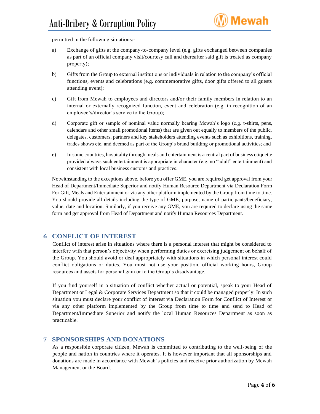

permitted in the following situations:-

- a) Exchange of gifts at the company-to-company level (e.g. gifts exchanged between companies as part of an official company visit/courtesy call and thereafter said gift is treated as company property);
- b) Gifts from the Group to external institutions or individuals in relation to the company's official functions, events and celebrations (e.g. commemorative gifts, door gifts offered to all guests attending event);
- c) Gift from Mewah to employees and directors and/or their family members in relation to an internal or externally recognized function, event and celebration (e.g. in recognition of an employee's/director's service to the Group);
- d) Corporate gift or sample of nominal value normally bearing Mewah's logo (e.g. t-shirts, pens, calendars and other small promotional items) that are given out equally to members of the public, delegates, customers, partners and key stakeholders attending events such as exhibitions, training, trades shows etc. and deemed as part of the Group's brand building or promotional activities; and
- e) In some countries, hospitality through meals and entertainment is a central part of business etiquette provided always such entertainment is appropriate in character (e.g. no "adult" entertainment) and consistent with local business customs and practices.

Notwithstanding to the exceptions above, before you offer GME, you are required get approval from your Head of Department/Immediate Superior and notify Human Resource Department via Declaration Form For Gift, Meals and Entertainment or via any other platform implemented by the Group from time to time. You should provide all details including the type of GME, purpose, name of participants/beneficiary, value, date and location. Similarly, if you receive any GME, you are required to declare using the same form and get approval from Head of Department and notify Human Resources Department.

# <span id="page-4-0"></span>**6 CONFLICT OF INTEREST**

Conflict of interest arise in situations where there is a personal interest that might be considered to interfere with that person's objectivity when performing duties or exercising judgement on behalf of the Group. You should avoid or deal appropriately with situations in which personal interest could conflict obligations or duties. You must not use your position, official working hours, Group resources and assets for personal gain or to the Group's disadvantage.

If you find yourself in a situation of conflict whether actual or potential, speak to your Head of Department or Legal & Corporate Services Department so that it could be managed properly. In such situation you must declare your conflict of interest via Declaration Form for Conflict of Interest or via any other platform implemented by the Group from time to time and send to Head of Department/Immediate Superior and notify the local Human Resources Department as soon as practicable.

# <span id="page-4-1"></span>**7 SPONSORSHIPS AND DONATIONS**

As a responsible corporate citizen, Mewah is committed to contributing to the well-being of the people and nation in countries where it operates. It is however important that all sponsorships and donations are made in accordance with Mewah's policies and receive prior authorization by Mewah Management or the Board.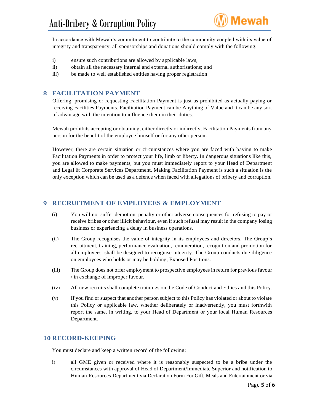

In accordance with Mewah's commitment to contribute to the community coupled with its value of integrity and transparency, all sponsorships and donations should comply with the following:

- i) ensure such contributions are allowed by applicable laws;
- ii) obtain all the necessary internal and external authorisations; and
- iii) be made to well established entities having proper registration.

### <span id="page-5-0"></span>**8 FACILITATION PAYMENT**

Offering, promising or requesting Facilitation Payment is just as prohibited as actually paying or receiving Facilities Payments. Facilitation Payment can be Anything of Value and it can be any sort of advantage with the intention to influence them in their duties.

Mewah prohibits accepting or obtaining, either directly or indirectly, Facilitation Payments from any person for the benefit of the employee himself or for any other person.

However, there are certain situation or circumstances where you are faced with having to make Facilitation Payments in order to protect your life, limb or liberty. In dangerous situations like this, you are allowed to make payments, but you must immediately report to your Head of Department and Legal & Corporate Services Department. Making Facilitation Payment is such a situation is the only exception which can be used as a defence when faced with allegations of bribery and corruption.

#### <span id="page-5-1"></span>**9 RECRUITMENT OF EMPLOYEES & EMPLOYMENT**

- (i) You will not suffer demotion, penalty or other adverse consequences for refusing to pay or receive bribes or other illicit behaviour, even if such refusal may result in the company losing business or experiencing a delay in business operations.
- (ii) The Group recognises the value of integrity in its employees and directors. The Group's recruitment, training, performance evaluation, remuneration, recognition and promotion for all employees, shall be designed to recognise integrity. The Group conducts due diligence on employees who holds or may be holding, Exposed Positions.
- (iii) The Group does not offer employment to prospective employees in return for previous favour / in exchange of improper favour.
- (iv) All new recruits shall complete trainings on the Code of Conduct and Ethics and this Policy.
- (v) If you find or suspect that another person subject to this Policy has violated or about to violate this Policy or applicable law, whether deliberately or inadvertently, you must forthwith report the same, in writing, to your Head of Department or your local Human Resources Department.

#### <span id="page-5-2"></span>**10 RECORD-KEEPING**

You must declare and keep a written record of the following:

i) all GME given or received where it is reasonably suspected to be a bribe under the circumstances with approval of Head of Department/Immediate Superior and notification to Human Resources Department via Declaration Form For Gift, Meals and Entertainment or via